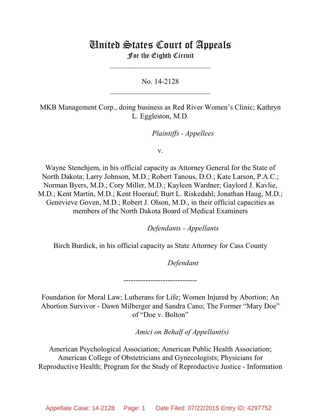# United States Court of Appeals For the Eighth Circuit

\_\_\_\_\_\_\_\_\_\_\_\_\_\_\_\_\_\_\_\_\_\_\_\_\_\_\_

No. 14-2128  $\mathcal{L}_\text{max}$  , which is a set of the set of the set of the set of the set of the set of the set of the set of the set of the set of the set of the set of the set of the set of the set of the set of the set of the set of

MKB Management Corp., doing business as Red River Women's Clinic; Kathryn L. Eggleston, M.D.

*Plaintiffs - Appellees* 

v.

Wayne Stenehjem, in his official capacity as Attorney General for the State of North Dakota; Larry Johnson, M.D.; Robert Tanous, D.O.; Kate Larson, P.A.C.; Norman Byers, M.D.; Cory Miller, M.D.; Kayleen Wardner; Gaylord J. Kavlie, M.D.; Kent Martin, M.D.; Kent Hoerauf; Burt L. Riskedahl; Jonathan Haug, M.D.; Genevieve Goven, M.D.; Robert J. Olson, M.D., in their official capacities as members of the North Dakota Board of Medical Examiners

lllllllllllllllllllll *Defendants - Appellants*

Birch Burdick, in his official capacity as State Attorney for Cass County

Defendant

Foundation for Moral Law; Lutherans for Life; Women Injured by Abortion; An Abortion Survivor - Dawn Milberger and Sandra Cano; The Former "Mary Doe" of "Doe v. Bolton"

------------------------------

*Amici on Behalf of Appellant(s)* 

American Psychological Association; American Public Health Association; American College of Obstetricians and Gynecologists; Physicians for Reproductive Health; Program for the Study of Reproductive Justice - Information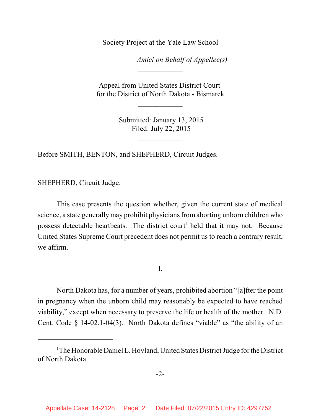Society Project at the Yale Law School

*Amici on Behalf of Appellee(s)* 

Appeal from United States District Court for the District of North Dakota - Bismarck

 $\frac{1}{2}$ 

\_\_\_\_\_\_\_\_\_\_\_\_

 Submitted: January 13, 2015 Filed: July 22, 2015

 $\frac{1}{2}$ 

 $\frac{1}{2}$ 

Before SMITH, BENTON, and SHEPHERD, Circuit Judges.

SHEPHERD, Circuit Judge.

This case presents the question whether, given the current state of medical science, a state generally may prohibit physicians fromaborting unborn children who possess detectable heartbeats. The district court<sup>1</sup> held that it may not. Because United States Supreme Court precedent does not permit us to reach a contrary result, we affirm.

I.

North Dakota has, for a number of years, prohibited abortion "[a]fter the point in pregnancy when the unborn child may reasonably be expected to have reached viability," except when necessary to preserve the life or health of the mother. N.D. Cent. Code § 14-02.1-04(3). North Dakota defines "viable" as "the ability of an

<sup>&</sup>lt;sup>1</sup>The Honorable Daniel L. Hovland, United States District Judge for the District of North Dakota.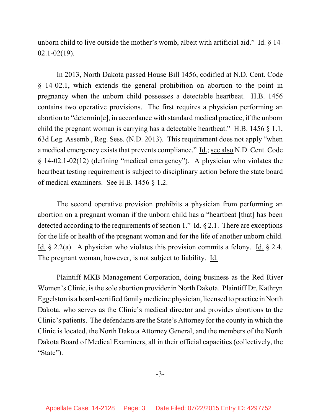unborn child to live outside the mother's womb, albeit with artificial aid." Id. § 14- 02.1-02(19).

In 2013, North Dakota passed House Bill 1456, codified at N.D. Cent. Code § 14-02.1, which extends the general prohibition on abortion to the point in pregnancy when the unborn child possesses a detectable heartbeat. H.B. 1456 contains two operative provisions. The first requires a physician performing an abortion to "determin[e], in accordance with standard medical practice, if the unborn child the pregnant woman is carrying has a detectable heartbeat." H.B. 1456 § 1.1, 63d Leg. Assemb., Reg. Sess. (N.D. 2013). This requirement does not apply "when a medical emergency exists that prevents compliance." Id.; see also N.D. Cent. Code § 14-02.1-02(12) (defining "medical emergency"). A physician who violates the heartbeat testing requirement is subject to disciplinary action before the state board of medical examiners. See H.B. 1456 § 1.2.

The second operative provision prohibits a physician from performing an abortion on a pregnant woman if the unborn child has a "heartbeat [that] has been detected according to the requirements of section 1." Id. § 2.1. There are exceptions for the life or health of the pregnant woman and for the life of another unborn child. Id.  $\S$  2.2(a). A physician who violates this provision commits a felony. Id.  $\S$  2.4. The pregnant woman, however, is not subject to liability. Id.

Plaintiff MKB Management Corporation, doing business as the Red River Women's Clinic, isthe sole abortion provider in North Dakota. Plaintiff Dr. Kathryn Eggelston is a board-certified familymedicine physician, licensed to practice in North Dakota, who serves as the Clinic's medical director and provides abortions to the Clinic's patients. The defendants are the State's Attorney for the county in which the Clinic is located, the North Dakota Attorney General, and the members of the North Dakota Board of Medical Examiners, all in their official capacities (collectively, the "State").

-3-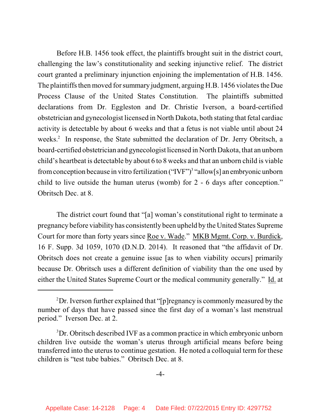Before H.B. 1456 took effect, the plaintiffs brought suit in the district court, challenging the law's constitutionality and seeking injunctive relief. The district court granted a preliminary injunction enjoining the implementation of H.B. 1456. The plaintiffs then moved for summary judgment, arguing H.B. 1456 violates the Due Process Clause of the United States Constitution. The plaintiffs submitted declarations from Dr. Eggleston and Dr. Christie Iverson, a board-certified obstetrician and gynecologist licensed in North Dakota, both stating that fetal cardiac activity is detectable by about 6 weeks and that a fetus is not viable until about 24 weeks.<sup>2</sup> In response, the State submitted the declaration of Dr. Jerry Obritsch, a board-certified obstetrician and gynecologist licensed in North Dakota, that an unborn child's heartbeat is detectable by about 6 to 8 weeks and that an unborn child is viable from conception because in vitro fertilization ("IVF")<sup>3</sup> "allow[s] an embryonic unborn child to live outside the human uterus (womb) for 2 - 6 days after conception." Obritsch Dec. at 8.

The district court found that "[a] woman's constitutional right to terminate a pregnancy before viability has consistently been upheld by the United States Supreme Court for more than forty years since Roe v. Wade." MKB Mgmt. Corp. v. Burdick, 16 F. Supp. 3d 1059, 1070 (D.N.D. 2014). It reasoned that "the affidavit of Dr. Obritsch does not create a genuine issue [as to when viability occurs] primarily because Dr. Obritsch uses a different definition of viability than the one used by either the United States Supreme Court or the medical community generally." Id. at

 ${}^{2}$ Dr. Iverson further explained that "[p]regnancy is commonly measured by the number of days that have passed since the first day of a woman's last menstrual period." Iverson Dec. at 2.

<sup>&</sup>lt;sup>3</sup>Dr. Obritsch described IVF as a common practice in which embryonic unborn children live outside the woman's uterus through artificial means before being transferred into the uterus to continue gestation. He noted a colloquial term for these children is "test tube babies." Obritsch Dec. at 8.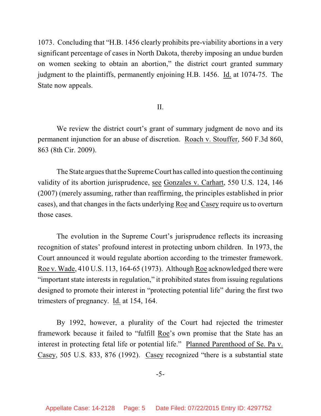1073. Concluding that "H.B. 1456 clearly prohibits pre-viability abortions in a very significant percentage of cases in North Dakota, thereby imposing an undue burden on women seeking to obtain an abortion," the district court granted summary judgment to the plaintiffs, permanently enjoining H.B. 1456. Id. at 1074-75. The State now appeals.

## II.

We review the district court's grant of summary judgment de novo and its permanent injunction for an abuse of discretion. Roach v. Stouffer, 560 F.3d 860, 863 (8th Cir. 2009).

The State argues that the Supreme Court has called into question the continuing validity of its abortion jurisprudence, see Gonzales v. Carhart, 550 U.S. 124, 146 (2007) (merely assuming, rather than reaffirming, the principles established in prior cases), and that changes in the facts underlying Roe and Casey require us to overturn those cases.

The evolution in the Supreme Court's jurisprudence reflects its increasing recognition of states' profound interest in protecting unborn children. In 1973, the Court announced it would regulate abortion according to the trimester framework. Roe v. Wade, 410 U.S. 113, 164-65 (1973). Although Roe acknowledged there were "important state interests in regulation," it prohibited states from issuing regulations designed to promote their interest in "protecting potential life" during the first two trimesters of pregnancy. Id. at 154, 164.

By 1992, however, a plurality of the Court had rejected the trimester framework because it failed to "fulfill Roe's own promise that the State has an interest in protecting fetal life or potential life." Planned Parenthood of Se. Pa v. Casey, 505 U.S. 833, 876 (1992). Casey recognized "there is a substantial state

-5-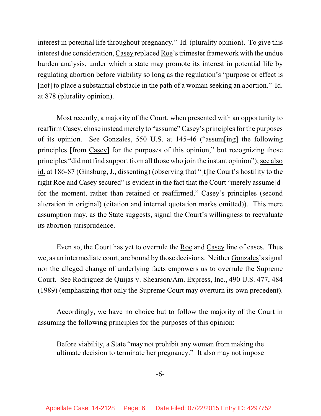interest in potential life throughout pregnancy." Id. (plurality opinion). To give this interest due consideration, Casey replaced Roe's trimester framework with the undue burden analysis, under which a state may promote its interest in potential life by regulating abortion before viability so long as the regulation's "purpose or effect is [not] to place a substantial obstacle in the path of a woman seeking an abortion." Id. at 878 (plurality opinion).

Most recently, a majority of the Court, when presented with an opportunity to reaffirm Casey, chose instead merely to "assume" Casey's principles for the purposes of its opinion. See Gonzales, 550 U.S. at 145-46 ("assum[ing] the following principles [from Casey] for the purposes of this opinion," but recognizing those principles "did not find support from all those who join the instant opinion"); see also id. at 186-87 (Ginsburg, J., dissenting) (observing that "[t]he Court's hostility to the right Roe and Casey secured" is evident in the fact that the Court "merely assume[d] for the moment, rather than retained or reaffirmed," Casey's principles (second alteration in original) (citation and internal quotation marks omitted)). This mere assumption may, as the State suggests, signal the Court's willingness to reevaluate its abortion jurisprudence.

Even so, the Court has yet to overrule the Roe and Casey line of cases. Thus we, as an intermediate court, are bound by those decisions. Neither Gonzales's signal nor the alleged change of underlying facts empowers us to overrule the Supreme Court. See Rodriguez de Quijas v. Shearson/Am. Express, Inc., 490 U.S. 477, 484 (1989) (emphasizing that only the Supreme Court may overturn its own precedent).

Accordingly, we have no choice but to follow the majority of the Court in assuming the following principles for the purposes of this opinion:

Before viability, a State "may not prohibit any woman from making the ultimate decision to terminate her pregnancy." It also may not impose

-6-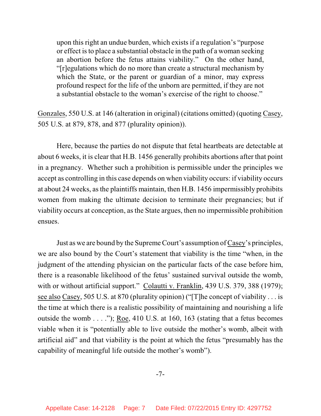upon this right an undue burden, which exists if a regulation's "purpose or effect isto place a substantial obstacle in the path of a woman seeking an abortion before the fetus attains viability." On the other hand, "[r]egulations which do no more than create a structural mechanism by which the State, or the parent or guardian of a minor, may express profound respect for the life of the unborn are permitted, if they are not a substantial obstacle to the woman's exercise of the right to choose."

Gonzales, 550 U.S. at 146 (alteration in original) (citations omitted) (quoting Casey, 505 U.S. at 879, 878, and 877 (plurality opinion)).

Here, because the parties do not dispute that fetal heartbeats are detectable at about 6 weeks, it is clear that H.B. 1456 generally prohibits abortions after that point in a pregnancy. Whether such a prohibition is permissible under the principles we accept as controlling in this case depends on when viability occurs: if viability occurs at about 24 weeks, asthe plaintiffs maintain, then H.B. 1456 impermissibly prohibits women from making the ultimate decision to terminate their pregnancies; but if viability occurs at conception, as the State argues, then no impermissible prohibition ensues.

Just as we are bound by the Supreme Court's assumption of Casey's principles, we are also bound by the Court's statement that viability is the time "when, in the judgment of the attending physician on the particular facts of the case before him, there is a reasonable likelihood of the fetus' sustained survival outside the womb, with or without artificial support." Colautti v. Franklin, 439 U.S. 379, 388 (1979); see also Casey, 505 U.S. at 870 (plurality opinion) ("[T]he concept of viability . . . is the time at which there is a realistic possibility of maintaining and nourishing a life outside the womb . . . ."); Roe, 410 U.S. at 160, 163 (stating that a fetus becomes viable when it is "potentially able to live outside the mother's womb, albeit with artificial aid" and that viability is the point at which the fetus "presumably has the capability of meaningful life outside the mother's womb").

-7-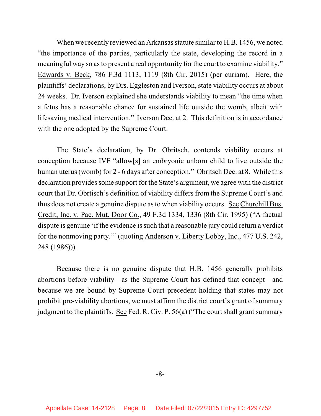When we recently reviewed an Arkansas statute similar to H.B. 1456, we noted "the importance of the parties, particularly the state, developing the record in a meaningful way so asto present a real opportunity for the court to examine viability." Edwards v. Beck, 786 F.3d 1113, 1119 (8th Cir. 2015) (per curiam). Here, the plaintiffs' declarations, by Drs. Eggleston and Iverson, state viability occurs at about 24 weeks. Dr. Iverson explained she understands viability to mean "the time when a fetus has a reasonable chance for sustained life outside the womb, albeit with lifesaving medical intervention." Iverson Dec. at 2. This definition is in accordance with the one adopted by the Supreme Court.

The State's declaration, by Dr. Obritsch, contends viability occurs at conception because IVF "allow[s] an embryonic unborn child to live outside the human uterus (womb) for 2 - 6 days after conception." Obritsch Dec. at 8. While this declaration provides some support for the State's argument, we agree with the district court that Dr. Obrtisch's definition of viability differs from the Supreme Court's and thus does not create a genuine dispute asto when viability occurs. See Churchill Bus. Credit, Inc. v. Pac. Mut. Door Co., 49 F.3d 1334, 1336 (8th Cir. 1995) ("A factual dispute is genuine 'if the evidence is such that a reasonable jury could return a verdict for the nonmoving party.'" (quoting Anderson v. Liberty Lobby, Inc., 477 U.S. 242, 248 (1986))).

Because there is no genuine dispute that H.B. 1456 generally prohibits abortions before viability—as the Supreme Court has defined that concept—and because we are bound by Supreme Court precedent holding that states may not prohibit pre-viability abortions, we must affirm the district court's grant of summary judgment to the plaintiffs. See Fed. R. Civ. P. 56(a) ("The court shall grant summary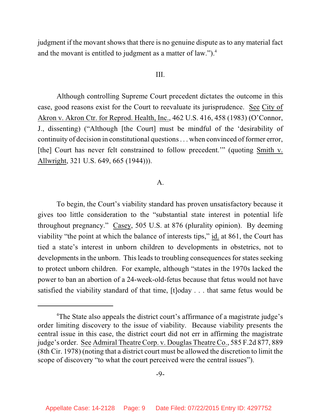judgment if the movant shows that there is no genuine dispute as to any material fact and the movant is entitled to judgment as a matter of law."). 4

### III.

Although controlling Supreme Court precedent dictates the outcome in this case, good reasons exist for the Court to reevaluate its jurisprudence. See City of Akron v. Akron Ctr. for Reprod. Health, Inc., 462 U.S. 416, 458 (1983) (O'Connor, J., dissenting) ("Although [the Court] must be mindful of the 'desirability of continuity of decision in constitutional questions . . . when convinced of former error, [the] Court has never felt constrained to follow precedent.'" (quoting Smith v. Allwright, 321 U.S. 649, 665 (1944))).

## A.

To begin, the Court's viability standard has proven unsatisfactory because it gives too little consideration to the "substantial state interest in potential life throughout pregnancy." Casey, 505 U.S. at 876 (plurality opinion). By deeming viability "the point at which the balance of interests tips," id. at 861, the Court has tied a state's interest in unborn children to developments in obstetrics, not to developments in the unborn. This leads to troubling consequences for states seeking to protect unborn children. For example, although "states in the 1970s lacked the power to ban an abortion of a 24-week-old-fetus because that fetus would not have satisfied the viability standard of that time, [t]oday . . . that same fetus would be

<sup>&</sup>lt;sup>4</sup>The State also appeals the district court's affirmance of a magistrate judge's order limiting discovery to the issue of viability. Because viability presents the central issue in this case, the district court did not err in affirming the magistrate judge's order. See Admiral Theatre Corp. v. Douglas Theatre Co., 585 F.2d 877, 889 (8th Cir. 1978) (noting that a district court must be allowed the discretion to limit the scope of discovery "to what the court perceived were the central issues").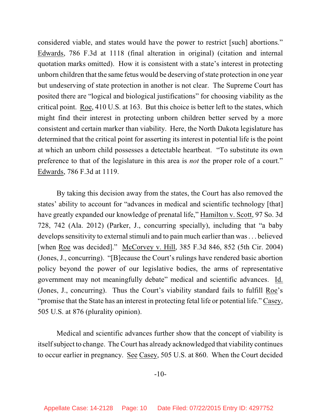considered viable, and states would have the power to restrict [such] abortions." Edwards, 786 F.3d at 1118 (final alteration in original) (citation and internal quotation marks omitted). How it is consistent with a state's interest in protecting unborn children that the same fetus would be deserving of state protection in one year but undeserving of state protection in another is not clear. The Supreme Court has posited there are "logical and biological justifications" for choosing viability as the critical point. Roe, 410 U.S. at 163. But this choice is better left to the states, which might find their interest in protecting unborn children better served by a more consistent and certain marker than viability. Here, the North Dakota legislature has determined that the critical point for asserting its interest in potential life is the point at which an unborn child possesses a detectable heartbeat. "To substitute its own preference to that of the legislature in this area is *not* the proper role of a court." Edwards, 786 F.3d at 1119.

By taking this decision away from the states, the Court has also removed the states' ability to account for "advances in medical and scientific technology [that] have greatly expanded our knowledge of prenatal life," Hamilton v. Scott, 97 So. 3d 728, 742 (Ala. 2012) (Parker, J., concurring specially), including that "a baby develops sensitivity to external stimuli and to pain much earlier than was... believed [when Roe was decided]." McCorvey v. Hill, 385 F.3d 846, 852 (5th Cir. 2004) (Jones, J., concurring). "[B]ecause the Court's rulings have rendered basic abortion policy beyond the power of our legislative bodies, the arms of representative government may not meaningfully debate" medical and scientific advances. Id. (Jones, J., concurring). Thus the Court's viability standard fails to fulfill Roe's "promise that the State has an interest in protecting fetal life or potential life." Casey, 505 U.S. at 876 (plurality opinion).

Medical and scientific advances further show that the concept of viability is itself subject to change. The Court has already acknowledged that viability continues to occur earlier in pregnancy. See Casey, 505 U.S. at 860. When the Court decided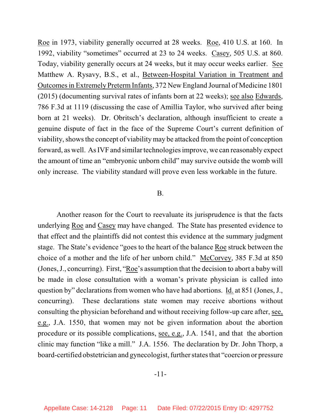Roe in 1973, viability generally occurred at 28 weeks. Roe, 410 U.S. at 160. In 1992, viability "sometimes" occurred at 23 to 24 weeks. Casey, 505 U.S. at 860. Today, viability generally occurs at 24 weeks, but it may occur weeks earlier. See Matthew A. Rysavy, B.S., et al., Between-Hospital Variation in Treatment and Outcomesin Extremely PretermInfants, 372 New England Journal of Medicine 1801 (2015) (documenting survival rates of infants born at 22 weeks); see also Edwards, 786 F.3d at 1119 (discussing the case of Amillia Taylor, who survived after being born at 21 weeks). Dr. Obritsch's declaration, although insufficient to create a genuine dispute of fact in the face of the Supreme Court's current definition of viability, shows the concept of viability may be attacked from the point of conception forward, as well. As IVF and similar technologiesimprove, we can reasonably expect the amount of time an "embryonic unborn child" may survive outside the womb will only increase. The viability standard will prove even less workable in the future.

#### B.

Another reason for the Court to reevaluate its jurisprudence is that the facts underlying Roe and Casey may have changed. The State has presented evidence to that effect and the plaintiffs did not contest this evidence at the summary judgment stage. The State's evidence "goes to the heart of the balance Roe struck between the choice of a mother and the life of her unborn child." McCorvey, 385 F.3d at 850 (Jones, J., concurring). First, "Roe's assumption that the decision to abort a baby will be made in close consultation with a woman's private physician is called into question by" declarations from women who have had abortions. Id. at 851 (Jones, J., concurring). These declarations state women may receive abortions without consulting the physician beforehand and without receiving follow-up care after, see, e.g., J.A. 1550, that women may not be given information about the abortion procedure or its possible complications, see, e.g., J.A. 1541, and that the abortion clinic may function "like a mill." J.A. 1556. The declaration by Dr. John Thorp, a board-certified obstetrician and gynecologist, further states that "coercion or pressure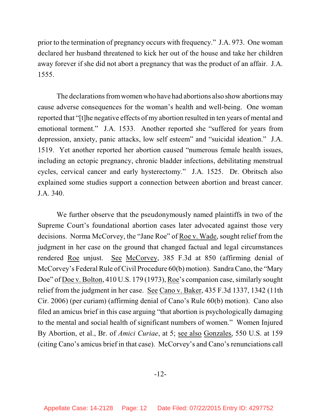prior to the termination of pregnancy occurs with frequency." J.A. 973. One woman declared her husband threatened to kick her out of the house and take her children away forever if she did not abort a pregnancy that was the product of an affair. J.A. 1555.

The declarations from women who have had abortions also show abortions may cause adverse consequences for the woman's health and well-being. One woman reported that "[t]he negative effects of my abortion resulted in ten years of mental and emotional torment." J.A. 1533. Another reported she "suffered for years from depression, anxiety, panic attacks, low self esteem" and "suicidal ideation." J.A. 1519. Yet another reported her abortion caused "numerous female health issues, including an ectopic pregnancy, chronic bladder infections, debilitating menstrual cycles, cervical cancer and early hysterectomy." J.A. 1525. Dr. Obritsch also explained some studies support a connection between abortion and breast cancer. J.A. 340.

We further observe that the pseudonymously named plaintiffs in two of the Supreme Court's foundational abortion cases later advocated against those very decisions. Norma McCorvey, the "Jane Roe" of Roe v. Wade, sought relief from the judgment in her case on the ground that changed factual and legal circumstances rendered Roe unjust. See McCorvey, 385 F.3d at 850 (affirming denial of McCorvey's Federal Rule of Civil Procedure 60(b) motion). Sandra Cano, the "Mary Doe" of Doe v. Bolton, 410 U.S. 179 (1973), Roe's companion case, similarly sought relief from the judgment in her case. See Cano v. Baker, 435 F.3d 1337, 1342 (11th Cir. 2006) (per curiam) (affirming denial of Cano's Rule 60(b) motion). Cano also filed an amicus brief in this case arguing "that abortion is psychologically damaging to the mental and social health of significant numbers of women." Women Injured By Abortion, et al., Br. of *Amici Curiae*, at 5; see also Gonzales, 550 U.S. at 159 (citing Cano's amicus brief in that case). McCorvey's and Cano's renunciations call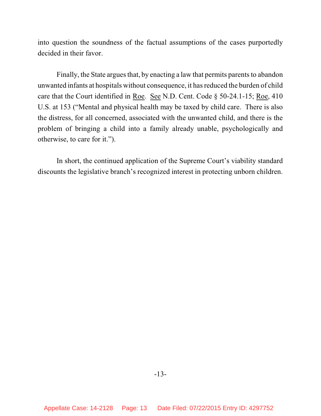into question the soundness of the factual assumptions of the cases purportedly decided in their favor.

Finally, the State argues that, by enacting a law that permits parents to abandon unwanted infants at hospitals without consequence, it has reduced the burden of child care that the Court identified in Roe. See N.D. Cent. Code § 50-24.1-15; Roe, 410 U.S. at 153 ("Mental and physical health may be taxed by child care. There is also the distress, for all concerned, associated with the unwanted child, and there is the problem of bringing a child into a family already unable, psychologically and otherwise, to care for it.").

In short, the continued application of the Supreme Court's viability standard discounts the legislative branch's recognized interest in protecting unborn children.